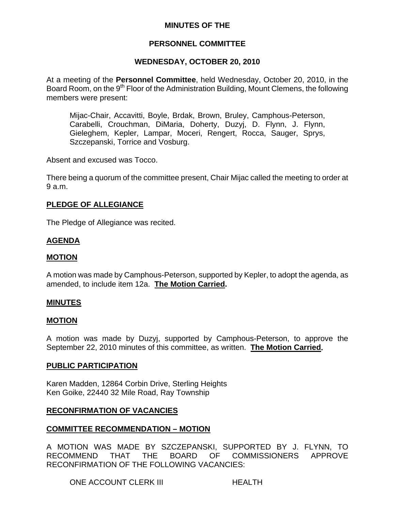## **MINUTES OF THE**

# **PERSONNEL COMMITTEE**

# **WEDNESDAY, OCTOBER 20, 2010**

At a meeting of the **Personnel Committee**, held Wednesday, October 20, 2010, in the Board Room, on the 9<sup>th</sup> Floor of the Administration Building, Mount Clemens, the following members were present:

Mijac-Chair, Accavitti, Boyle, Brdak, Brown, Bruley, Camphous-Peterson, Carabelli, Crouchman, DiMaria, Doherty, Duzyj, D. Flynn, J. Flynn, Gieleghem, Kepler, Lampar, Moceri, Rengert, Rocca, Sauger, Sprys, Szczepanski, Torrice and Vosburg.

Absent and excused was Tocco.

There being a quorum of the committee present, Chair Mijac called the meeting to order at 9 a.m.

## **PLEDGE OF ALLEGIANCE**

The Pledge of Allegiance was recited.

# **AGENDA**

### **MOTION**

A motion was made by Camphous-Peterson, supported by Kepler, to adopt the agenda, as amended, to include item 12a. **The Motion Carried.** 

### **MINUTES**

### **MOTION**

A motion was made by Duzyj, supported by Camphous-Peterson, to approve the September 22, 2010 minutes of this committee, as written. **The Motion Carried.** 

### **PUBLIC PARTICIPATION**

Karen Madden, 12864 Corbin Drive, Sterling Heights Ken Goike, 22440 32 Mile Road, Ray Township

## **RECONFIRMATION OF VACANCIES**

## **COMMITTEE RECOMMENDATION – MOTION**

A MOTION WAS MADE BY SZCZEPANSKI, SUPPORTED BY J. FLYNN, TO RECOMMEND THAT THE BOARD OF COMMISSIONERS APPROVE RECONFIRMATION OF THE FOLLOWING VACANCIES:

ONE ACCOUNT CLERK III HEALTH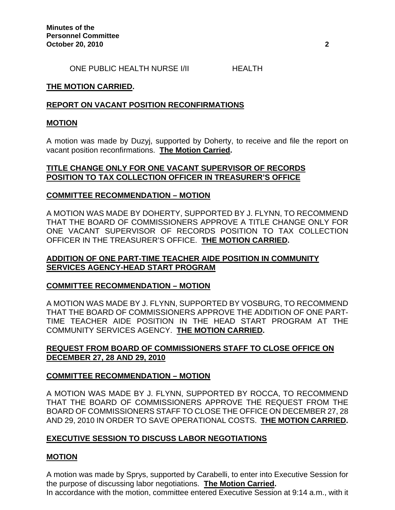ONE PUBLIC HEALTH NURSE I/II HEALTH

### **THE MOTION CARRIED.**

### **REPORT ON VACANT POSITION RECONFIRMATIONS**

### **MOTION**

A motion was made by Duzyj, supported by Doherty, to receive and file the report on vacant position reconfirmations. **The Motion Carried.** 

### **TITLE CHANGE ONLY FOR ONE VACANT SUPERVISOR OF RECORDS POSITION TO TAX COLLECTION OFFICER IN TREASURER'S OFFICE**

### **COMMITTEE RECOMMENDATION – MOTION**

A MOTION WAS MADE BY DOHERTY, SUPPORTED BY J. FLYNN, TO RECOMMEND THAT THE BOARD OF COMMISSIONERS APPROVE A TITLE CHANGE ONLY FOR ONE VACANT SUPERVISOR OF RECORDS POSITION TO TAX COLLECTION OFFICER IN THE TREASURER'S OFFICE. **THE MOTION CARRIED.** 

## **ADDITION OF ONE PART-TIME TEACHER AIDE POSITION IN COMMUNITY SERVICES AGENCY-HEAD START PROGRAM**

## **COMMITTEE RECOMMENDATION – MOTION**

A MOTION WAS MADE BY J. FLYNN, SUPPORTED BY VOSBURG, TO RECOMMEND THAT THE BOARD OF COMMISSIONERS APPROVE THE ADDITION OF ONE PART-TIME TEACHER AIDE POSITION IN THE HEAD START PROGRAM AT THE COMMUNITY SERVICES AGENCY. **THE MOTION CARRIED.** 

# **REQUEST FROM BOARD OF COMMISSIONERS STAFF TO CLOSE OFFICE ON DECEMBER 27, 28 AND 29, 2010**

## **COMMITTEE RECOMMENDATION – MOTION**

A MOTION WAS MADE BY J. FLYNN, SUPPORTED BY ROCCA, TO RECOMMEND THAT THE BOARD OF COMMISSIONERS APPROVE THE REQUEST FROM THE BOARD OF COMMISSIONERS STAFF TO CLOSE THE OFFICE ON DECEMBER 27, 28 AND 29, 2010 IN ORDER TO SAVE OPERATIONAL COSTS. **THE MOTION CARRIED.** 

### **EXECUTIVE SESSION TO DISCUSS LABOR NEGOTIATIONS**

### **MOTION**

A motion was made by Sprys, supported by Carabelli, to enter into Executive Session for the purpose of discussing labor negotiations. **The Motion Carried.**  In accordance with the motion, committee entered Executive Session at 9:14 a.m., with it